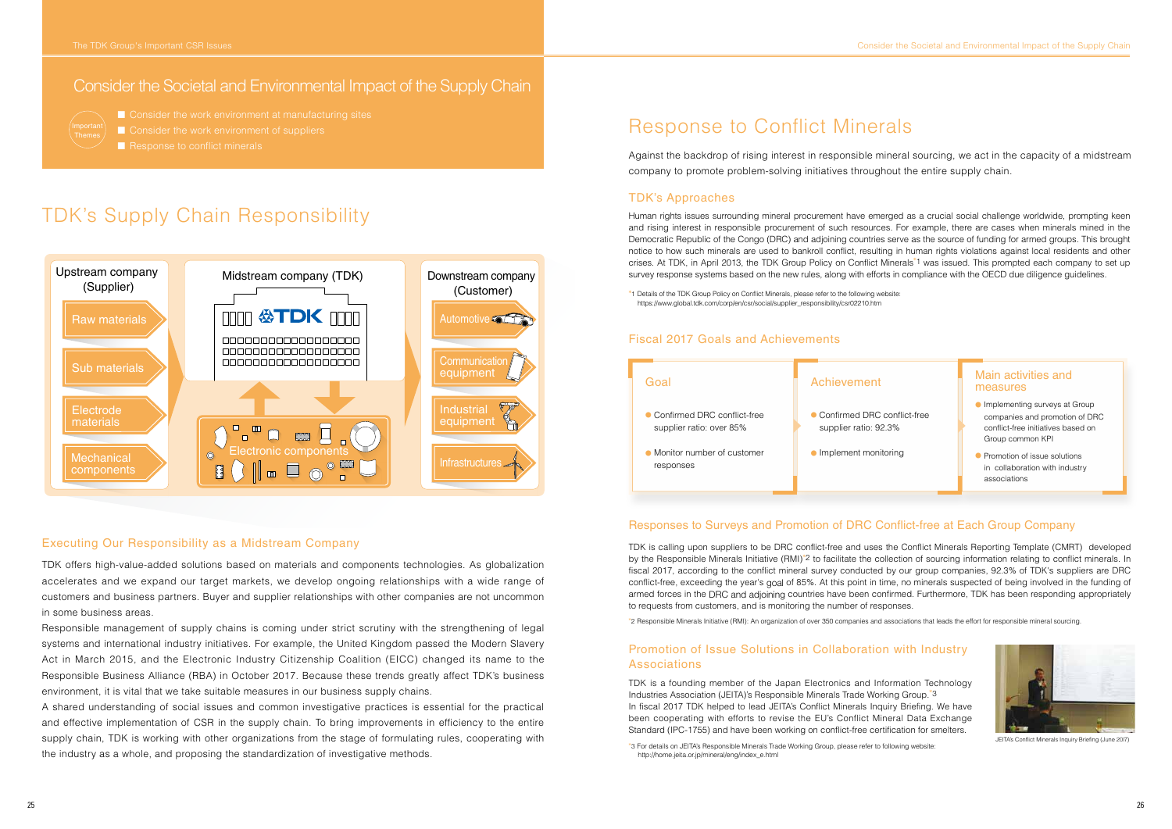

TDK offers high-value-added solutions based on materials and components technologies. As globalization accelerates and we expand our target markets, we develop ongoing relationships with a wide range of customers and business partners. Buyer and supplier relationships with other companies are not uncommon in some business areas.

Responsible management of supply chains is coming under strict scrutiny with the strengthening of legal systems and international industry initiatives. For example, the United Kingdom passed the Modern Slavery Act in March 2015, and the Electronic Industry Citizenship Coalition (EICC) changed its name to the Responsible Business Alliance (RBA) in October 2017. Because these trends greatly affect TDK's business environment, it is vital that we take suitable measures in our business supply chains.

Executing Our Responsibility as a Midstream Company TDK is calling upon suppliers to be DRC conflict-free and uses the Conflict Minerals Reporting Template (CMRT) developed by the Responsible Minerals Initiative (RMI)<sup>\*</sup>2 to facilitate the collection of sourcing information relating to conflict minerals. In fiscal 2017, according to the conflict mineral survey conducted by our group companies, 92.3% of TDK's suppliers are DRC conflict-free, exceeding the year's goal of 85%. At this point in time, no minerals suspected of being involved in the funding of armed forces in the DRC and adjoining countries have been confirmed. Furthermore, TDK has been responding appropriately to requests from customers, and is monitoring the number of responses.

A shared understanding of social issues and common investigative practices is essential for the practical and effective implementation of CSR in the supply chain. To bring improvements in efficiency to the entire supply chain, TDK is working with other organizations from the stage of formulating rules, cooperating with the industry as a whole, and proposing the standardization of investigative methods.

- Implementing surveys at Group companies and promotion of DRC conflict-free initiatives based on Group common KPI
- Promotion of issue solutions in collaboration with industry associations

TDK is a founding member of the Japan Electronics and Information Technology Industries Association (JEITA)'s Responsible Minerals Trade Working Group.\*3 In fiscal 2017 TDK helped to lead JEITA's Conflict Minerals Inquiry Briefing. We have been cooperating with efforts to revise the EU's Conflict Mineral Data Exchange Standard (IPC-1755) and have been working on conflict-free certification for smelters.

## Responses to Surveys and Promotion of DRC Conflict-free at Each Group Company

\*2 Responsible Minerals Initiative (RMI): An organization of over 350 companies and associations that leads the effort for responsible mineral sourcing.

## Promotion of Issue Solutions in Collaboration with Industry Associations



JEITA's Conflict Minerals Inquiry Briefing (June 20l7)

\*1 Details of the TDK Group Policy on Conflict Minerals, please refer to the following website: https://www.global.tdk.com/corp/en/csr/social/supplier\_responsibility/csr02210.htm

# Response to Conflict Minerals

Against the backdrop of rising interest in responsible mineral sourcing, we act in the capacity of a midstream company to promote problem-solving initiatives throughout the entire supply chain.

## TDK's Approaches

Human rights issues surrounding mineral procurement have emerged as a crucial social challenge worldwide, prompting keen and rising interest in responsible procurement of such resources. For example, there are cases when minerals mined in the Democratic Republic of the Congo (DRC) and adjoining countries serve as the source of funding for armed groups. This brought notice to how such minerals are used to bankroll conflict, resulting in human rights violations against local residents and other crises. At TDK, in April 2013, the TDK Group Policy on Conflict Minerals\*1 was issued. This prompted each company to set up survey response systems based on the new rules, along with efforts in compliance with the OECD due diligence guidelines.

# TDK's Supply Chain Responsibility

# measures



### Fiscal 2017 Goals and Achievements

## Consider the Societal and Environmental Impact of the Supply Chain



■ Consider the work environment at manufacturing sites

- Consider the work environment of suppliers
- Response to conflict minerals

<sup>\*</sup>3 For details on JEITA's Responsible Minerals Trade Working Group, please refer to following website: http://home.jeita.or.jp/mineral/eng/index\_e.html